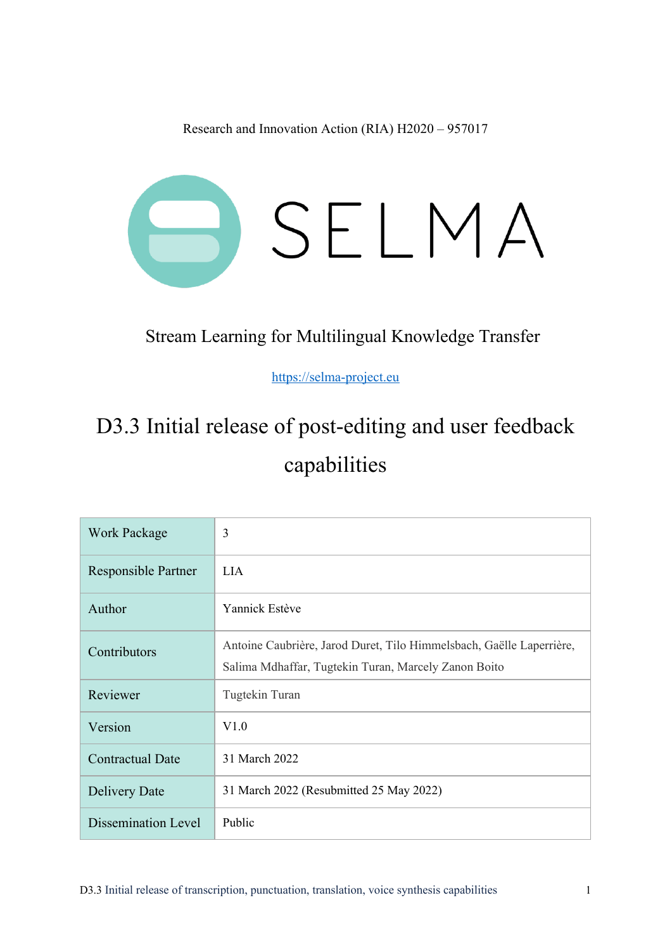Research and Innovation Action (RIA) H2020 – 957017



#### Stream Learning for Multilingual Knowledge Transfer

https://selma-project.eu

# D3.3 Initial release of post-editing and user feedback capabilities

| <b>Work Package</b> | 3                                                                                                                            |
|---------------------|------------------------------------------------------------------------------------------------------------------------------|
| Responsible Partner | LIA.                                                                                                                         |
| Author              | Yannick Estève                                                                                                               |
| Contributors        | Antoine Caubrière, Jarod Duret, Tilo Himmelsbach, Gaëlle Laperrière,<br>Salima Mdhaffar, Tugtekin Turan, Marcely Zanon Boito |
| Reviewer            | Tugtekin Turan                                                                                                               |
| Version             | V1.0                                                                                                                         |
| Contractual Date    | 31 March 2022                                                                                                                |
| Delivery Date       | 31 March 2022 (Resubmitted 25 May 2022)                                                                                      |
| Dissemination Level | Public                                                                                                                       |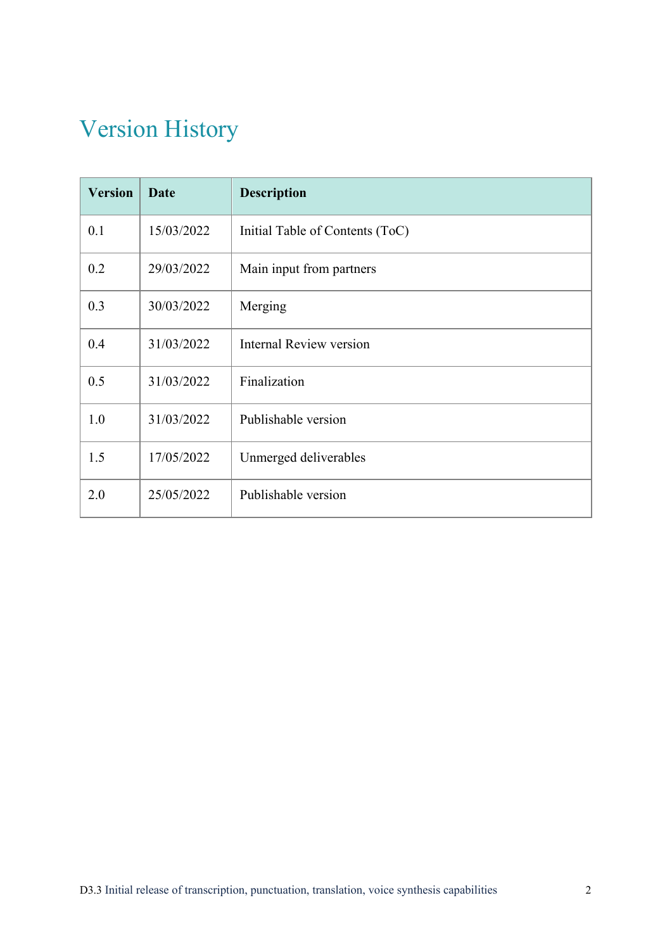## Version History

| <b>Version</b> | <b>Date</b> | <b>Description</b>              |
|----------------|-------------|---------------------------------|
| 0.1            | 15/03/2022  | Initial Table of Contents (ToC) |
| 0.2            | 29/03/2022  | Main input from partners        |
| 0.3            | 30/03/2022  | Merging                         |
| 0.4            | 31/03/2022  | <b>Internal Review version</b>  |
| 0.5            | 31/03/2022  | Finalization                    |
| 1.0            | 31/03/2022  | Publishable version             |
| 1.5            | 17/05/2022  | Unmerged deliverables           |
| 2.0            | 25/05/2022  | Publishable version             |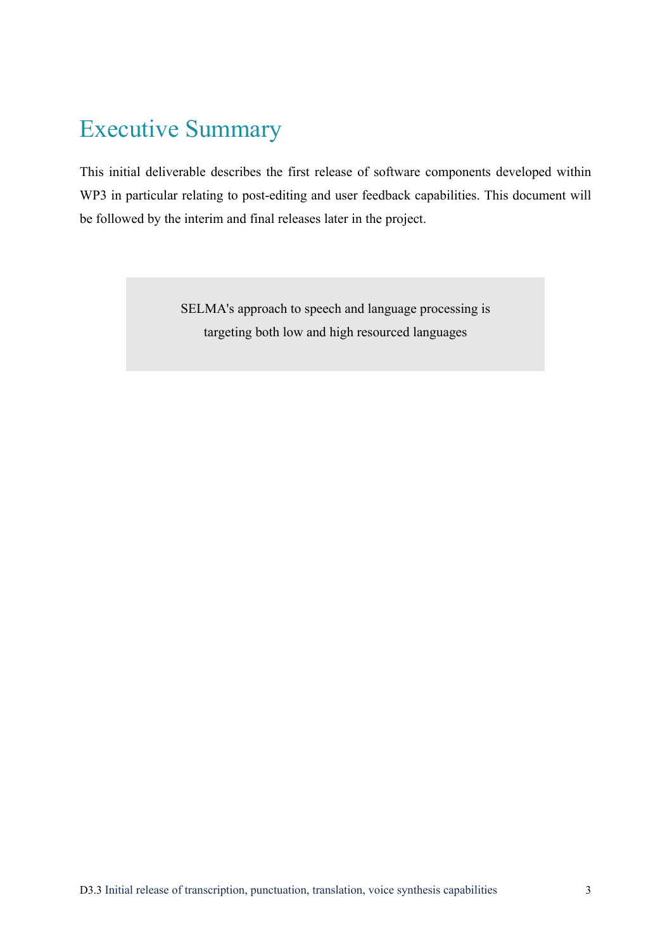## Executive Summary

This initial deliverable describes the first release of software components developed within WP3 in particular relating to post-editing and user feedback capabilities. This document will be followed by the interim and final releases later in the project.

> SELMA's approach to speech and language processing is targeting both low and high resourced languages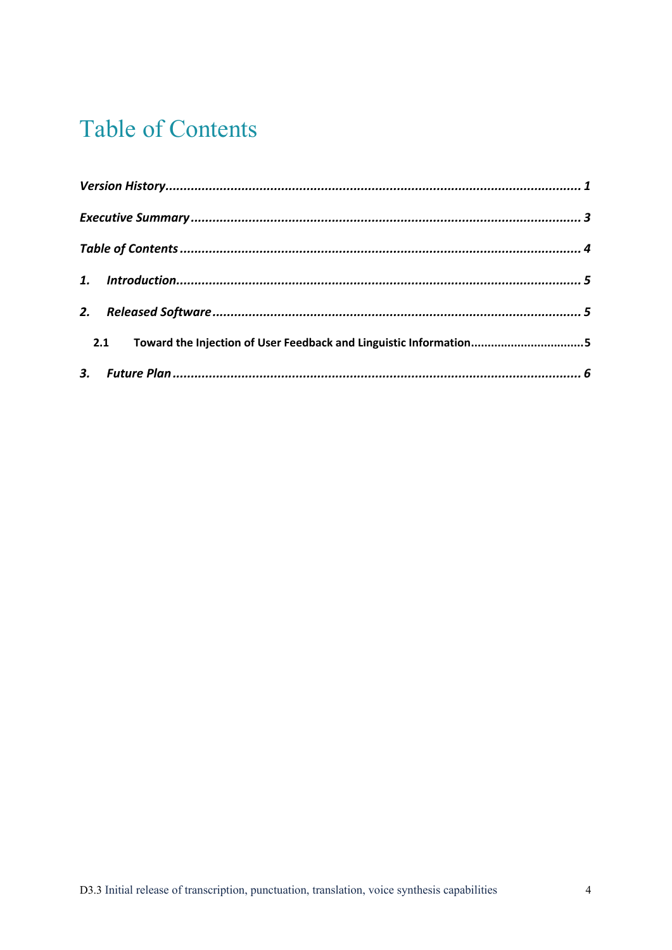## **Table of Contents**

| Toward the Injection of User Feedback and Linguistic Information5<br>2.1 |  |
|--------------------------------------------------------------------------|--|
|                                                                          |  |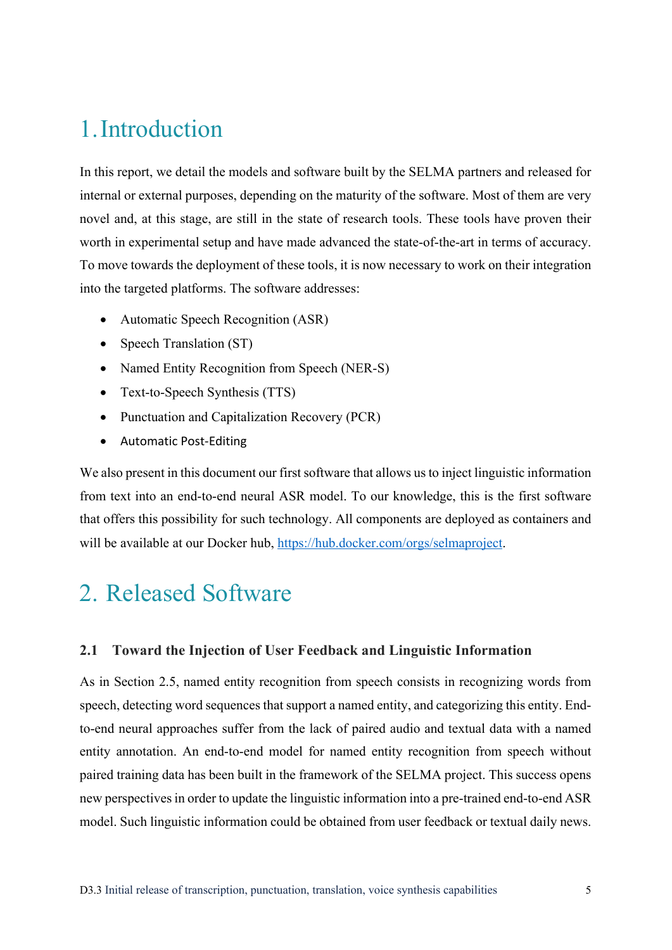### 1.Introduction

In this report, we detail the models and software built by the SELMA partners and released for internal or external purposes, depending on the maturity of the software. Most of them are very novel and, at this stage, are still in the state of research tools. These tools have proven their worth in experimental setup and have made advanced the state-of-the-art in terms of accuracy. To move towards the deployment of these tools, it is now necessary to work on their integration into the targeted platforms. The software addresses:

- Automatic Speech Recognition (ASR)
- Speech Translation (ST)
- Named Entity Recognition from Speech (NER-S)
- Text-to-Speech Synthesis (TTS)
- Punctuation and Capitalization Recovery (PCR)
- Automatic Post-Editing

We also present in this document our first software that allows us to inject linguistic information from text into an end-to-end neural ASR model. To our knowledge, this is the first software that offers this possibility for such technology. All components are deployed as containers and will be available at our Docker hub, https://hub.docker.com/orgs/selmaproject.

## 2. Released Software

#### **2.1 Toward the Injection of User Feedback and Linguistic Information**

As in Section 2.5, named entity recognition from speech consists in recognizing words from speech, detecting word sequences that support a named entity, and categorizing this entity. Endto-end neural approaches suffer from the lack of paired audio and textual data with a named entity annotation. An end-to-end model for named entity recognition from speech without paired training data has been built in the framework of the SELMA project. This success opens new perspectives in order to update the linguistic information into a pre-trained end-to-end ASR model. Such linguistic information could be obtained from user feedback or textual daily news.